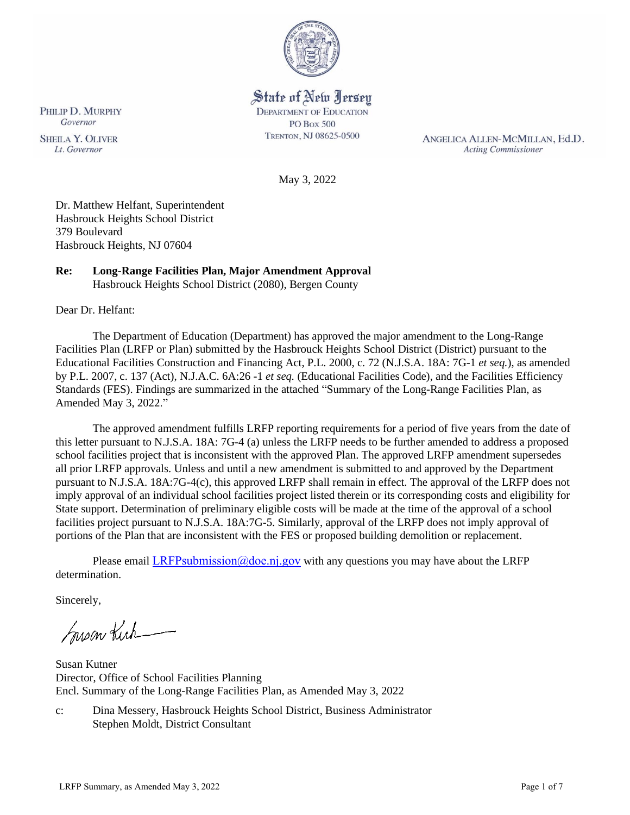

# State of New Jersey

**DEPARTMENT OF EDUCATION** PO Box 500 TRENTON, NJ 08625-0500

ANGELICA ALLEN-MCMILLAN, Ed.D. **Acting Commissioner** 

May 3, 2022

Dr. Matthew Helfant, Superintendent Hasbrouck Heights School District 379 Boulevard Hasbrouck Heights, NJ 07604

# **Re: Long-Range Facilities Plan, Major Amendment Approval**

Hasbrouck Heights School District (2080), Bergen County

Dear Dr. Helfant:

The Department of Education (Department) has approved the major amendment to the Long-Range Facilities Plan (LRFP or Plan) submitted by the Hasbrouck Heights School District (District) pursuant to the Educational Facilities Construction and Financing Act, P.L. 2000, c. 72 (N.J.S.A. 18A: 7G-1 *et seq.*), as amended by P.L. 2007, c. 137 (Act), N.J.A.C. 6A:26 -1 *et seq.* (Educational Facilities Code), and the Facilities Efficiency Standards (FES). Findings are summarized in the attached "Summary of the Long-Range Facilities Plan, as Amended May 3, 2022."

The approved amendment fulfills LRFP reporting requirements for a period of five years from the date of this letter pursuant to N.J.S.A. 18A: 7G-4 (a) unless the LRFP needs to be further amended to address a proposed school facilities project that is inconsistent with the approved Plan. The approved LRFP amendment supersedes all prior LRFP approvals. Unless and until a new amendment is submitted to and approved by the Department pursuant to N.J.S.A. 18A:7G-4(c), this approved LRFP shall remain in effect. The approval of the LRFP does not imply approval of an individual school facilities project listed therein or its corresponding costs and eligibility for State support. Determination of preliminary eligible costs will be made at the time of the approval of a school facilities project pursuant to N.J.S.A. 18A:7G-5. Similarly, approval of the LRFP does not imply approval of portions of the Plan that are inconsistent with the FES or proposed building demolition or replacement.

Please email LRFPsubmission  $@doen$  i.gov with any questions you may have about the LRFP determination.

Sincerely,

Susan Kich

Susan Kutner Director, Office of School Facilities Planning Encl. Summary of the Long-Range Facilities Plan, as Amended May 3, 2022

c: Dina Messery, Hasbrouck Heights School District, Business Administrator Stephen Moldt, District Consultant

PHILIP D. MURPHY Governor **SHEILA Y. OLIVER** 

Lt. Governor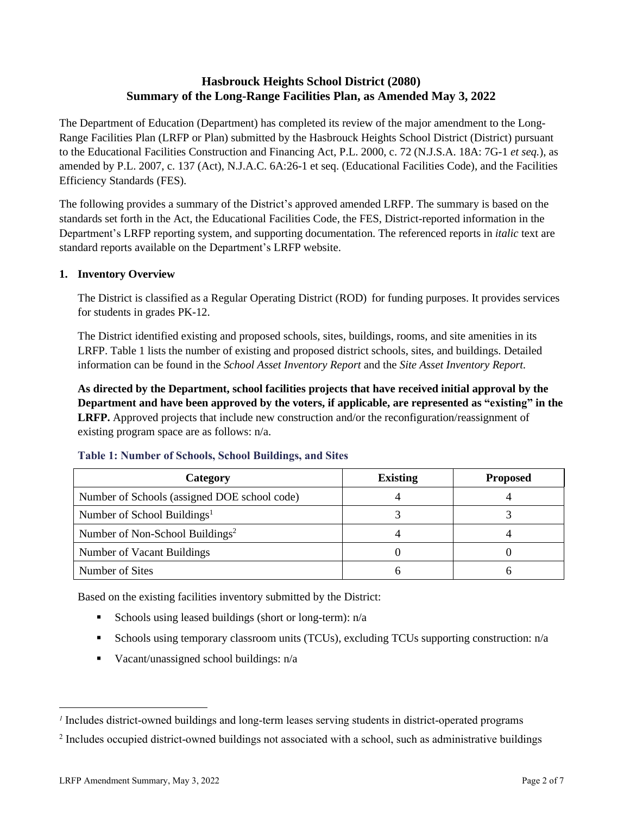# **Hasbrouck Heights School District (2080) Summary of the Long-Range Facilities Plan, as Amended May 3, 2022**

The Department of Education (Department) has completed its review of the major amendment to the Long-Range Facilities Plan (LRFP or Plan) submitted by the Hasbrouck Heights School District (District) pursuant to the Educational Facilities Construction and Financing Act, P.L. 2000, c. 72 (N.J.S.A. 18A: 7G-1 *et seq.*), as amended by P.L. 2007, c. 137 (Act), N.J.A.C. 6A:26-1 et seq. (Educational Facilities Code), and the Facilities Efficiency Standards (FES).

The following provides a summary of the District's approved amended LRFP. The summary is based on the standards set forth in the Act, the Educational Facilities Code, the FES, District-reported information in the Department's LRFP reporting system, and supporting documentation. The referenced reports in *italic* text are standard reports available on the Department's LRFP website.

### **1. Inventory Overview**

The District is classified as a Regular Operating District (ROD) for funding purposes. It provides services for students in grades PK-12.

The District identified existing and proposed schools, sites, buildings, rooms, and site amenities in its LRFP. Table 1 lists the number of existing and proposed district schools, sites, and buildings. Detailed information can be found in the *School Asset Inventory Report* and the *Site Asset Inventory Report.*

**As directed by the Department, school facilities projects that have received initial approval by the Department and have been approved by the voters, if applicable, are represented as "existing" in the LRFP.** Approved projects that include new construction and/or the reconfiguration/reassignment of existing program space are as follows: n/a.

| Category                                     | <b>Existing</b> | <b>Proposed</b> |
|----------------------------------------------|-----------------|-----------------|
| Number of Schools (assigned DOE school code) |                 |                 |
| Number of School Buildings <sup>1</sup>      |                 |                 |
| Number of Non-School Buildings <sup>2</sup>  |                 |                 |
| Number of Vacant Buildings                   |                 |                 |
| Number of Sites                              |                 |                 |

### **Table 1: Number of Schools, School Buildings, and Sites**

Based on the existing facilities inventory submitted by the District:

- **Exercise** Schools using leased buildings (short or long-term):  $n/a$
- **•** Schools using temporary classroom units (TCUs), excluding TCUs supporting construction:  $n/a$
- Vacant/unassigned school buildings: n/a

*<sup>1</sup>* Includes district-owned buildings and long-term leases serving students in district-operated programs

<sup>&</sup>lt;sup>2</sup> Includes occupied district-owned buildings not associated with a school, such as administrative buildings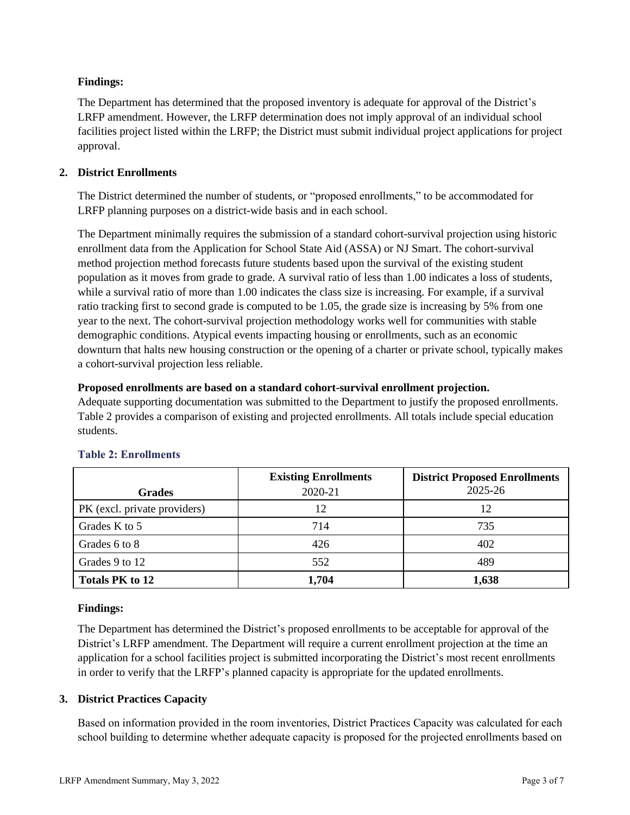### **Findings:**

The Department has determined that the proposed inventory is adequate for approval of the District's LRFP amendment. However, the LRFP determination does not imply approval of an individual school facilities project listed within the LRFP; the District must submit individual project applications for project approval.

### **2. District Enrollments**

The District determined the number of students, or "proposed enrollments," to be accommodated for LRFP planning purposes on a district-wide basis and in each school.

The Department minimally requires the submission of a standard cohort-survival projection using historic enrollment data from the Application for School State Aid (ASSA) or NJ Smart. The cohort-survival method projection method forecasts future students based upon the survival of the existing student population as it moves from grade to grade. A survival ratio of less than 1.00 indicates a loss of students, while a survival ratio of more than 1.00 indicates the class size is increasing. For example, if a survival ratio tracking first to second grade is computed to be 1.05, the grade size is increasing by 5% from one year to the next. The cohort-survival projection methodology works well for communities with stable demographic conditions. Atypical events impacting housing or enrollments, such as an economic downturn that halts new housing construction or the opening of a charter or private school, typically makes a cohort-survival projection less reliable.

### **Proposed enrollments are based on a standard cohort-survival enrollment projection.**

Adequate supporting documentation was submitted to the Department to justify the proposed enrollments. Table 2 provides a comparison of existing and projected enrollments. All totals include special education students.

|                              | <b>Existing Enrollments</b> | <b>District Proposed Enrollments</b> |
|------------------------------|-----------------------------|--------------------------------------|
| <b>Grades</b>                | 2020-21                     | 2025-26                              |
| PK (excl. private providers) | 12                          | 12                                   |
| Grades K to 5                | 714                         | 735                                  |
| Grades 6 to 8                | 426                         | 402                                  |
| Grades 9 to 12               | 552                         | 489                                  |
| Totals PK to 12              | 1,704                       | 1,638                                |

# **Table 2: Enrollments**

### **Findings:**

The Department has determined the District's proposed enrollments to be acceptable for approval of the District's LRFP amendment. The Department will require a current enrollment projection at the time an application for a school facilities project is submitted incorporating the District's most recent enrollments in order to verify that the LRFP's planned capacity is appropriate for the updated enrollments.

# **3. District Practices Capacity**

Based on information provided in the room inventories, District Practices Capacity was calculated for each school building to determine whether adequate capacity is proposed for the projected enrollments based on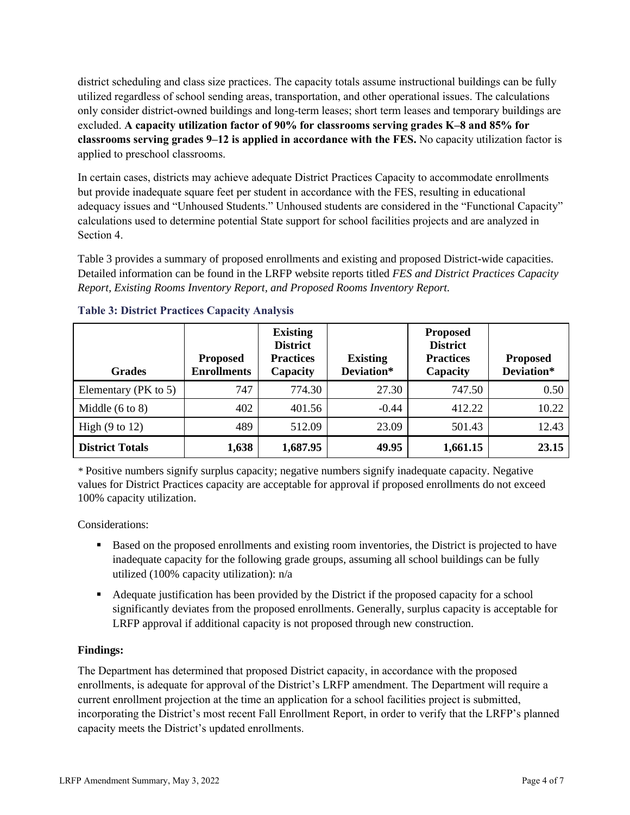district scheduling and class size practices. The capacity totals assume instructional buildings can be fully utilized regardless of school sending areas, transportation, and other operational issues. The calculations only consider district-owned buildings and long-term leases; short term leases and temporary buildings are excluded. **A capacity utilization factor of 90% for classrooms serving grades K–8 and 85% for classrooms serving grades 9–12 is applied in accordance with the FES.** No capacity utilization factor is applied to preschool classrooms.

In certain cases, districts may achieve adequate District Practices Capacity to accommodate enrollments but provide inadequate square feet per student in accordance with the FES, resulting in educational adequacy issues and "Unhoused Students." Unhoused students are considered in the "Functional Capacity" calculations used to determine potential State support for school facilities projects and are analyzed in Section 4.

Table 3 provides a summary of proposed enrollments and existing and proposed District-wide capacities. Detailed information can be found in the LRFP website reports titled *FES and District Practices Capacity Report, Existing Rooms Inventory Report, and Proposed Rooms Inventory Report.*

| <b>Grades</b>              | <b>Proposed</b><br><b>Enrollments</b> | <b>Existing</b><br><b>District</b><br><b>Practices</b><br>Capacity | <b>Existing</b><br>Deviation* | <b>Proposed</b><br><b>District</b><br><b>Practices</b><br>Capacity | <b>Proposed</b><br>Deviation* |
|----------------------------|---------------------------------------|--------------------------------------------------------------------|-------------------------------|--------------------------------------------------------------------|-------------------------------|
| Elementary ( $PK$ to 5)    | 747                                   | 774.30                                                             | 27.30                         | 747.50                                                             | 0.50                          |
| Middle $(6 \text{ to } 8)$ | 402                                   | 401.56                                                             | $-0.44$                       | 412.22                                                             | 10.22                         |
| High $(9 \text{ to } 12)$  | 489                                   | 512.09                                                             | 23.09                         | 501.43                                                             | 12.43                         |
| <b>District Totals</b>     | 1,638                                 | 1,687.95                                                           | 49.95                         | 1,661.15                                                           | 23.15                         |

### **Table 3: District Practices Capacity Analysis**

*\** Positive numbers signify surplus capacity; negative numbers signify inadequate capacity. Negative values for District Practices capacity are acceptable for approval if proposed enrollments do not exceed 100% capacity utilization.

Considerations:

- Based on the proposed enrollments and existing room inventories, the District is projected to have inadequate capacity for the following grade groups, assuming all school buildings can be fully utilized (100% capacity utilization): n/a
- Adequate justification has been provided by the District if the proposed capacity for a school significantly deviates from the proposed enrollments. Generally, surplus capacity is acceptable for LRFP approval if additional capacity is not proposed through new construction.

# **Findings:**

The Department has determined that proposed District capacity, in accordance with the proposed enrollments, is adequate for approval of the District's LRFP amendment. The Department will require a current enrollment projection at the time an application for a school facilities project is submitted, incorporating the District's most recent Fall Enrollment Report, in order to verify that the LRFP's planned capacity meets the District's updated enrollments.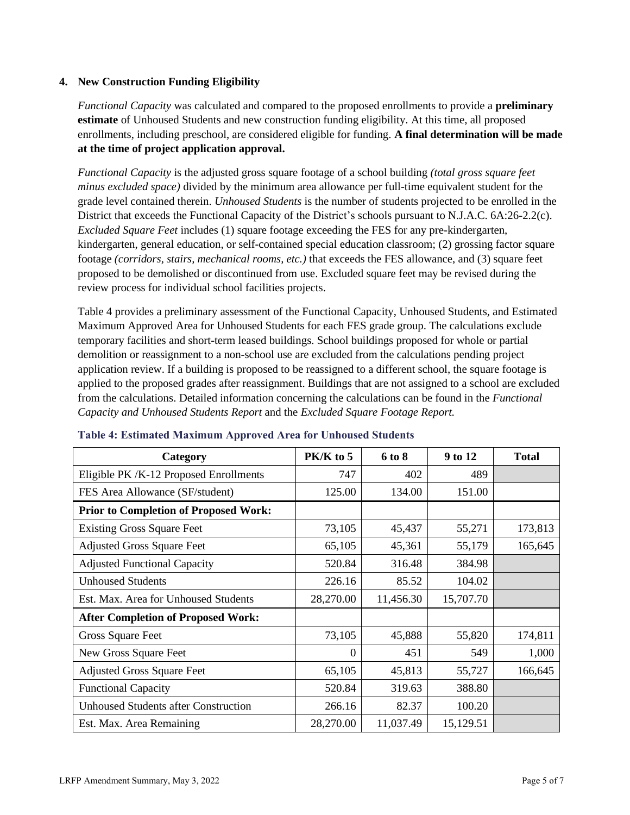#### **4. New Construction Funding Eligibility**

*Functional Capacity* was calculated and compared to the proposed enrollments to provide a **preliminary estimate** of Unhoused Students and new construction funding eligibility. At this time, all proposed enrollments, including preschool, are considered eligible for funding. **A final determination will be made at the time of project application approval.**

*Functional Capacity* is the adjusted gross square footage of a school building *(total gross square feet minus excluded space)* divided by the minimum area allowance per full-time equivalent student for the grade level contained therein. *Unhoused Students* is the number of students projected to be enrolled in the District that exceeds the Functional Capacity of the District's schools pursuant to N.J.A.C. 6A:26-2.2(c). *Excluded Square Feet* includes (1) square footage exceeding the FES for any pre-kindergarten, kindergarten, general education, or self-contained special education classroom; (2) grossing factor square footage *(corridors, stairs, mechanical rooms, etc.)* that exceeds the FES allowance, and (3) square feet proposed to be demolished or discontinued from use. Excluded square feet may be revised during the review process for individual school facilities projects.

Table 4 provides a preliminary assessment of the Functional Capacity, Unhoused Students, and Estimated Maximum Approved Area for Unhoused Students for each FES grade group. The calculations exclude temporary facilities and short-term leased buildings. School buildings proposed for whole or partial demolition or reassignment to a non-school use are excluded from the calculations pending project application review. If a building is proposed to be reassigned to a different school, the square footage is applied to the proposed grades after reassignment. Buildings that are not assigned to a school are excluded from the calculations. Detailed information concerning the calculations can be found in the *Functional Capacity and Unhoused Students Report* and the *Excluded Square Footage Report.*

| Category                                     | $PK/K$ to 5 | 6 to 8    | 9 to 12   | <b>Total</b> |
|----------------------------------------------|-------------|-----------|-----------|--------------|
| Eligible PK/K-12 Proposed Enrollments        | 747         | 402       | 489       |              |
| FES Area Allowance (SF/student)              | 125.00      | 134.00    | 151.00    |              |
| <b>Prior to Completion of Proposed Work:</b> |             |           |           |              |
| <b>Existing Gross Square Feet</b>            | 73,105      | 45,437    | 55,271    | 173,813      |
| <b>Adjusted Gross Square Feet</b>            | 65,105      | 45,361    | 55,179    | 165,645      |
| <b>Adjusted Functional Capacity</b>          | 520.84      | 316.48    | 384.98    |              |
| <b>Unhoused Students</b>                     | 226.16      | 85.52     | 104.02    |              |
| Est. Max. Area for Unhoused Students         | 28,270.00   | 11,456.30 | 15,707.70 |              |
| <b>After Completion of Proposed Work:</b>    |             |           |           |              |
| Gross Square Feet                            | 73,105      | 45,888    | 55,820    | 174,811      |
| New Gross Square Feet                        | $\Omega$    | 451       | 549       | 1,000        |
| <b>Adjusted Gross Square Feet</b>            | 65,105      | 45,813    | 55,727    | 166,645      |
| <b>Functional Capacity</b>                   | 520.84      | 319.63    | 388.80    |              |
| <b>Unhoused Students after Construction</b>  | 266.16      | 82.37     | 100.20    |              |
| Est. Max. Area Remaining                     | 28,270.00   | 11,037.49 | 15,129.51 |              |

#### **Table 4: Estimated Maximum Approved Area for Unhoused Students**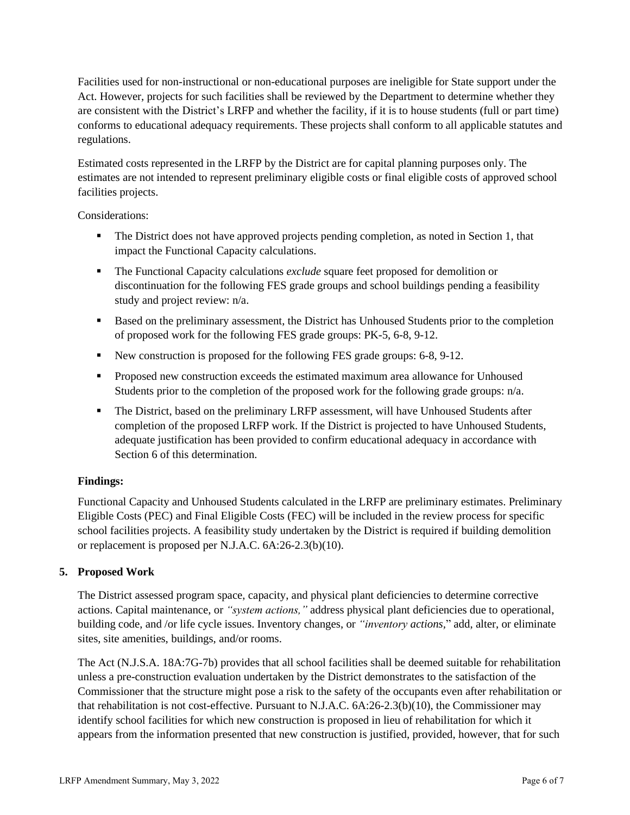Facilities used for non-instructional or non-educational purposes are ineligible for State support under the Act. However, projects for such facilities shall be reviewed by the Department to determine whether they are consistent with the District's LRFP and whether the facility, if it is to house students (full or part time) conforms to educational adequacy requirements. These projects shall conform to all applicable statutes and regulations.

Estimated costs represented in the LRFP by the District are for capital planning purposes only. The estimates are not intended to represent preliminary eligible costs or final eligible costs of approved school facilities projects.

Considerations:

- **•** The District does not have approved projects pending completion, as noted in Section 1, that impact the Functional Capacity calculations.
- The Functional Capacity calculations *exclude* square feet proposed for demolition or discontinuation for the following FES grade groups and school buildings pending a feasibility study and project review: n/a.
- Based on the preliminary assessment, the District has Unhoused Students prior to the completion of proposed work for the following FES grade groups: PK-5, 6-8, 9-12.
- New construction is proposed for the following FES grade groups: 6-8, 9-12.
- Proposed new construction exceeds the estimated maximum area allowance for Unhoused Students prior to the completion of the proposed work for the following grade groups: n/a.
- **•** The District, based on the preliminary LRFP assessment, will have Unhoused Students after completion of the proposed LRFP work. If the District is projected to have Unhoused Students, adequate justification has been provided to confirm educational adequacy in accordance with Section 6 of this determination.

### **Findings:**

Functional Capacity and Unhoused Students calculated in the LRFP are preliminary estimates. Preliminary Eligible Costs (PEC) and Final Eligible Costs (FEC) will be included in the review process for specific school facilities projects. A feasibility study undertaken by the District is required if building demolition or replacement is proposed per N.J.A.C. 6A:26-2.3(b)(10).

### **5. Proposed Work**

The District assessed program space, capacity, and physical plant deficiencies to determine corrective actions. Capital maintenance, or *"system actions,"* address physical plant deficiencies due to operational, building code, and /or life cycle issues. Inventory changes, or *"inventory actions,*" add, alter, or eliminate sites, site amenities, buildings, and/or rooms.

The Act (N.J.S.A. 18A:7G-7b) provides that all school facilities shall be deemed suitable for rehabilitation unless a pre-construction evaluation undertaken by the District demonstrates to the satisfaction of the Commissioner that the structure might pose a risk to the safety of the occupants even after rehabilitation or that rehabilitation is not cost-effective. Pursuant to N.J.A.C. 6A:26-2.3(b)(10), the Commissioner may identify school facilities for which new construction is proposed in lieu of rehabilitation for which it appears from the information presented that new construction is justified, provided, however, that for such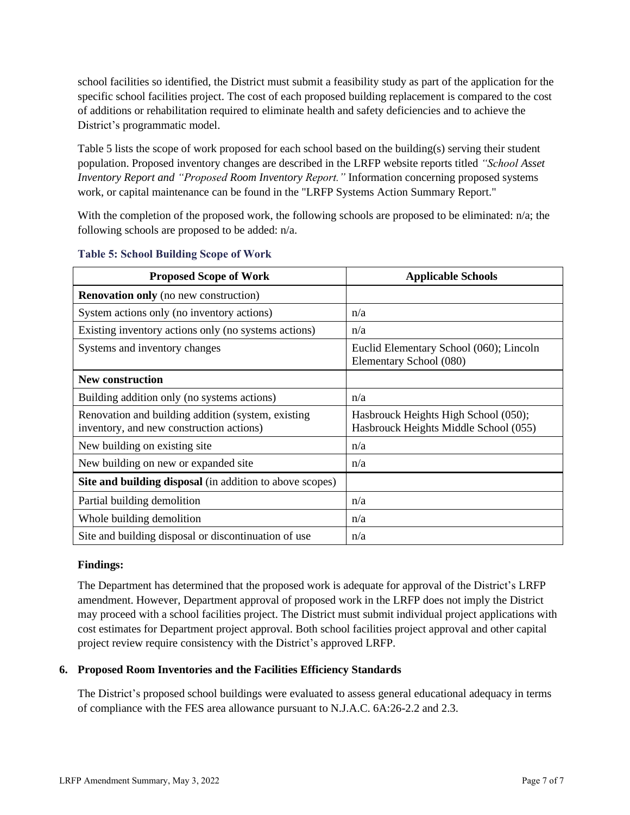school facilities so identified, the District must submit a feasibility study as part of the application for the specific school facilities project. The cost of each proposed building replacement is compared to the cost of additions or rehabilitation required to eliminate health and safety deficiencies and to achieve the District's programmatic model.

Table 5 lists the scope of work proposed for each school based on the building(s) serving their student population. Proposed inventory changes are described in the LRFP website reports titled *"School Asset Inventory Report and "Proposed Room Inventory Report."* Information concerning proposed systems work, or capital maintenance can be found in the "LRFP Systems Action Summary Report."

With the completion of the proposed work, the following schools are proposed to be eliminated: n/a; the following schools are proposed to be added: n/a.

| <b>Proposed Scope of Work</b>                                                                  | <b>Applicable Schools</b>                                                     |
|------------------------------------------------------------------------------------------------|-------------------------------------------------------------------------------|
| <b>Renovation only</b> (no new construction)                                                   |                                                                               |
| System actions only (no inventory actions)                                                     | n/a                                                                           |
| Existing inventory actions only (no systems actions)                                           | n/a                                                                           |
| Systems and inventory changes                                                                  | Euclid Elementary School (060); Lincoln<br>Elementary School (080)            |
| <b>New construction</b>                                                                        |                                                                               |
| Building addition only (no systems actions)                                                    | n/a                                                                           |
| Renovation and building addition (system, existing<br>inventory, and new construction actions) | Hasbrouck Heights High School (050);<br>Hasbrouck Heights Middle School (055) |
| New building on existing site                                                                  | n/a                                                                           |
| New building on new or expanded site                                                           | n/a                                                                           |
| <b>Site and building disposal</b> (in addition to above scopes)                                |                                                                               |
| Partial building demolition                                                                    | n/a                                                                           |
| Whole building demolition                                                                      | n/a                                                                           |
| Site and building disposal or discontinuation of use                                           | n/a                                                                           |

#### **Table 5: School Building Scope of Work**

#### **Findings:**

The Department has determined that the proposed work is adequate for approval of the District's LRFP amendment. However, Department approval of proposed work in the LRFP does not imply the District may proceed with a school facilities project. The District must submit individual project applications with cost estimates for Department project approval. Both school facilities project approval and other capital project review require consistency with the District's approved LRFP.

### **6. Proposed Room Inventories and the Facilities Efficiency Standards**

The District's proposed school buildings were evaluated to assess general educational adequacy in terms of compliance with the FES area allowance pursuant to N.J.A.C. 6A:26-2.2 and 2.3.